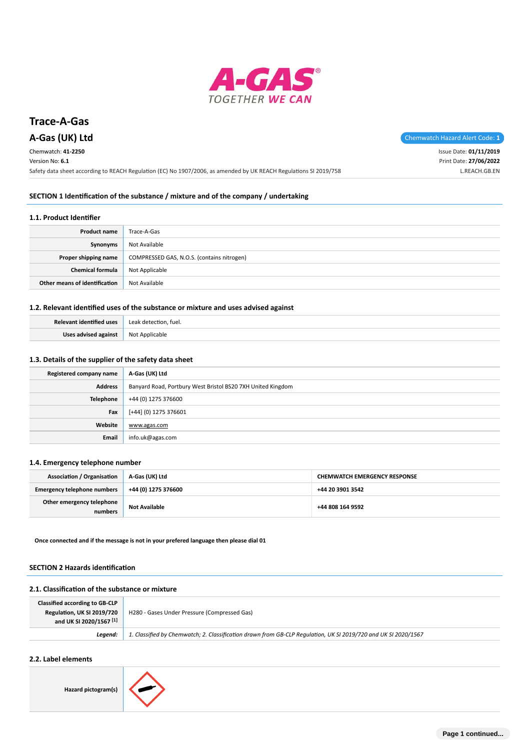

# **Trace-A-Gas**

Chemwatch: **41-2250**

Version No: **6.1**

**A-Gas (UK) Ltd** Chemwatch Hazard Alert Code: 1

Issue Date: **01/11/2019** Print Date: **27/06/2022** L.REACH.GB.EN

Safety data sheet according to REACH Regulation (EC) No 1907/2006, as amended by UK REACH Regulations SI 2019/758

#### **SECTION 1 Identification of the substance / mixture and of the company / undertaking**

#### **1.1. Product Identifier**

| <b>Product name</b>           | Trace-A-Gas                                |
|-------------------------------|--------------------------------------------|
| Synonyms                      | Not Available                              |
| Proper shipping name          | COMPRESSED GAS, N.O.S. (contains nitrogen) |
| <b>Chemical formula</b>       | Not Applicable                             |
| Other means of identification | Not Available                              |

## **1.2. Relevant identified uses of the substance or mixture and uses advised against**

| <b>Relevant identified uses</b> | Leak detection, fuel. |
|---------------------------------|-----------------------|
| Uses advised against            | Not Applicable        |

#### **1.3. Details of the supplier of the safety data sheet**

| Registered company name | A-Gas (UK) Ltd                                              |  |
|-------------------------|-------------------------------------------------------------|--|
| <b>Address</b>          | Banyard Road, Portbury West Bristol BS20 7XH United Kingdom |  |
| <b>Telephone</b>        | +44 (0) 1275 376600                                         |  |
| Fax                     | [+44] (0) 1275 376601                                       |  |
| Website                 | www.agas.com                                                |  |
| Email                   | info.uk@agas.com                                            |  |

#### **1.4. Emergency telephone number**

| <b>Association / Organisation</b>    | A-Gas (UK) Ltd       | <b>CHEMWATCH EMERGENCY RESPONSE</b> |  |
|--------------------------------------|----------------------|-------------------------------------|--|
| <b>Emergency telephone numbers</b>   | +44 (0) 1275 376600  | +44 20 3901 3542                    |  |
| Other emergency telephone<br>numbers | <b>Not Available</b> | +44 808 164 9592                    |  |

**Once connected and if the message is not in your prefered language then please dial 01**

#### **SECTION 2 Hazards identification**

## **2.1. Classification of the substance or mixture**

| <b>Classified according to GB-CLP</b><br>Regulation, UK SI 2019/720<br>and UK SI 2020/1567 <sup>[1]</sup> | H280 - Gases Under Pressure (Compressed Gas)                                                                   |
|-----------------------------------------------------------------------------------------------------------|----------------------------------------------------------------------------------------------------------------|
| Leaend:                                                                                                   | 1. Classified by Chemwatch; 2. Classification drawn from GB-CLP Regulation, UK SI 2019/720 and UK SI 2020/1567 |

# **2.2. Label elements**

**Hazard pictogram(s)**

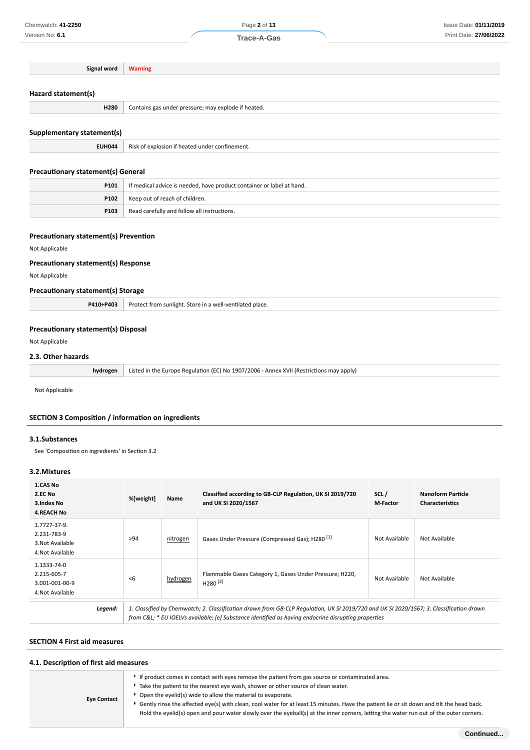**Signal word Warning**

# **Hazard statement(s)**

| . .<br>the contract of the contract of |                                                     |
|----------------------------------------|-----------------------------------------------------|
| H280                                   | Contains gas under pressure; may explode if heated. |
|                                        |                                                     |
|                                        |                                                     |

# **Supplementary statement(s)**

|  | <b>EUH044</b> Risk of explosion if heated under confinement. |
|--|--------------------------------------------------------------|
|--|--------------------------------------------------------------|

# **Precautionary statement(s) General**

| P101 | If medical advice is needed, have product container or label at hand. |  |
|------|-----------------------------------------------------------------------|--|
| P102 | Keep out of reach of children.                                        |  |
| P103 | Read carefully and follow all instructions.                           |  |

#### **Precautionary statement(s) Prevention**

#### Not Applicable

#### **Precautionary statement(s) Response**

Not Applicable

#### **Precautionary statement(s) Storage**

| P410+P403 | Protect from sunlight. Store in a well-ventilated place. |
|-----------|----------------------------------------------------------|
|           |                                                          |

## **Precautionary statement(s) Disposal**

Not Applicable

# **2.3. Other hazards**

| <b>hydrogen</b> Listed in the Europe Regulation (EC) No 1907/2006 - Annex XVII (Restrictions may apply) |
|---------------------------------------------------------------------------------------------------------|
|                                                                                                         |

Not Applicable

#### **SECTION 3 Composition / information on ingredients**

#### **3.1.Substances**

See 'Composition on ingredients' in Section 3.2

# **3.2.Mixtures**

| 1.CAS No<br>2.EC No<br>3. Index No<br><b>4.REACH No</b>             | %[weight]                                                                                                                                                                                                                                     | Name     | Classified according to GB-CLP Regulation, UK SI 2019/720<br>and UK SI 2020/1567 | SCL/<br>M-Factor | <b>Nanoform Particle</b><br><b>Characteristics</b> |
|---------------------------------------------------------------------|-----------------------------------------------------------------------------------------------------------------------------------------------------------------------------------------------------------------------------------------------|----------|----------------------------------------------------------------------------------|------------------|----------------------------------------------------|
| 1.7727-37-9.<br>2.231-783-9<br>3. Not Available<br>4. Not Available | >94                                                                                                                                                                                                                                           | nitrogen | Gases Under Pressure (Compressed Gas); H280 <sup>[1]</sup>                       | Not Available    | Not Available                                      |
| 1.1333-74-0<br>2.215-605-7<br>3.001-001-00-9<br>4. Not Available    | <6                                                                                                                                                                                                                                            | hydrogen | Flammable Gases Category 1, Gases Under Pressure; H220,<br>$H280^{[2]}$          | Not Available    | Not Available                                      |
| Legend:                                                             | 1. Classified by Chemwatch; 2. Classification drawn from GB-CLP Requlation, UK SI 2019/720 and UK SI 2020/1567; 3. Classification drawn<br>from C&L * EU IOELVs available; [e] Substance identified as having endocrine disrupting properties |          |                                                                                  |                  |                                                    |

# **SECTION 4 First aid measures**

# **4.1. Description of first aid measures**

**Eye Contact** If product comes in contact with eyes remove the patient from gas source or contaminated area. Take the patient to the nearest eye wash, shower or other source of clean water. Open the eyelid(s) wide to allow the material to evaporate. Gently rinse the affected eye(s) with clean, cool water for at least 15 minutes. Have the patient lie or sit down and tilt the head back. Hold the eyelid(s) open and pour water slowly over the eyeball(s) at the inner corners, letting the water run out of the outer corners.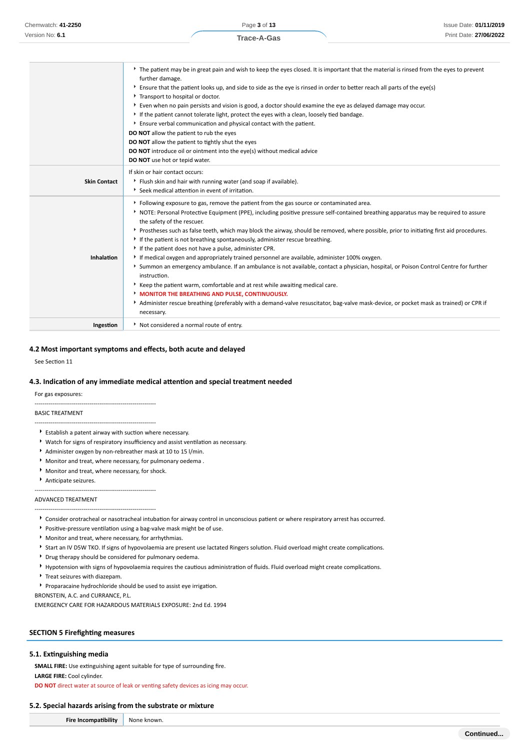Page **3** of **13 Trace-A-Gas**

|                     | The patient may be in great pain and wish to keep the eyes closed. It is important that the material is rinsed from the eyes to prevent                |  |  |  |  |
|---------------------|--------------------------------------------------------------------------------------------------------------------------------------------------------|--|--|--|--|
|                     | further damage.<br>Ensure that the patient looks up, and side to side as the eye is rinsed in order to better reach all parts of the eye(s)            |  |  |  |  |
|                     | Transport to hospital or doctor.                                                                                                                       |  |  |  |  |
|                     | ▶ Even when no pain persists and vision is good, a doctor should examine the eye as delayed damage may occur.                                          |  |  |  |  |
|                     | If the patient cannot tolerate light, protect the eyes with a clean, loosely tied bandage.                                                             |  |  |  |  |
|                     | Ensure verbal communication and physical contact with the patient.                                                                                     |  |  |  |  |
|                     | DO NOT allow the patient to rub the eyes                                                                                                               |  |  |  |  |
|                     | DO NOT allow the patient to tightly shut the eyes                                                                                                      |  |  |  |  |
|                     | <b>DO NOT</b> introduce oil or ointment into the eye(s) without medical advice                                                                         |  |  |  |  |
|                     | DO NOT use hot or tepid water.                                                                                                                         |  |  |  |  |
|                     | If skin or hair contact occurs:                                                                                                                        |  |  |  |  |
| <b>Skin Contact</b> | Flush skin and hair with running water (and soap if available).                                                                                        |  |  |  |  |
|                     | Seek medical attention in event of irritation.                                                                                                         |  |  |  |  |
|                     | Following exposure to gas, remove the patient from the gas source or contaminated area.                                                                |  |  |  |  |
|                     | NOTE: Personal Protective Equipment (PPE), including positive pressure self-contained breathing apparatus may be required to assure                    |  |  |  |  |
|                     | the safety of the rescuer.                                                                                                                             |  |  |  |  |
|                     | ▶ Prostheses such as false teeth, which may block the airway, should be removed, where possible, prior to initiating first aid procedures.             |  |  |  |  |
|                     | If the patient is not breathing spontaneously, administer rescue breathing.                                                                            |  |  |  |  |
|                     | If the patient does not have a pulse, administer CPR.                                                                                                  |  |  |  |  |
| Inhalation          | If medical oxygen and appropriately trained personnel are available, administer 100% oxygen.                                                           |  |  |  |  |
|                     | > Summon an emergency ambulance. If an ambulance is not available, contact a physician, hospital, or Poison Control Centre for further<br>instruction. |  |  |  |  |
|                     | * Keep the patient warm, comfortable and at rest while awaiting medical care.                                                                          |  |  |  |  |
|                     | <b>MONITOR THE BREATHING AND PULSE, CONTINUOUSLY.</b>                                                                                                  |  |  |  |  |
|                     | Administer rescue breathing (preferably with a demand-valve resuscitator, bag-valve mask-device, or pocket mask as trained) or CPR if                  |  |  |  |  |
|                     |                                                                                                                                                        |  |  |  |  |
|                     | necessary.                                                                                                                                             |  |  |  |  |

#### **4.2 Most important symptoms and effects, both acute and delayed**

See Section 11

#### **4.3. Indication of any immediate medical attention and special treatment needed**

For gas exposures:

#### BASIC TREATMENT

 $\blacktriangleright$  Establish a patent airway with suction where necessary.

--------------------------------------------------------------

--------------------------------------------------------------

- Watch for signs of respiratory insufficiency and assist ventilation as necessary.
- Administer oxygen by non-rebreather mask at 10 to 15 l/min.
- Monitor and treat, where necessary, for pulmonary oedema .
- Monitor and treat, where necessary, for shock.

--------------------------------------------------------------

--------------------------------------------------------------

Anticipate seizures.

#### ADVANCED TREATMENT

- Consider orotracheal or nasotracheal intubation for airway control in unconscious patient or where respiratory arrest has occurred.
- Positive-pressure ventilation using a bag-valve mask might be of use.
- Monitor and treat, where necessary, for arrhythmias.
- Start an IV D5W TKO. If signs of hypovolaemia are present use lactated Ringers solution. Fluid overload might create complications.
- Drug therapy should be considered for pulmonary oedema.
- Hypotension with signs of hypovolaemia requires the cautious administration of fluids. Fluid overload might create complications.
- Treat seizures with diazepam.
- Proparacaine hydrochloride should be used to assist eye irrigation.

BRONSTEIN, A.C. and CURRANCE, P.L.

EMERGENCY CARE FOR HAZARDOUS MATERIALS EXPOSURE: 2nd Ed. 1994

#### **SECTION 5 Firefighting measures**

#### **5.1. Extinguishing media**

**SMALL FIRE:** Use extinguishing agent suitable for type of surrounding fire.

**LARGE FIRE:** Cool cylinder.

**DO NOT** direct water at source of leak or venting safety devices as icing may occur.

#### **5.2. Special hazards arising from the substrate or mixture**

**Fire Incompatibility** None known.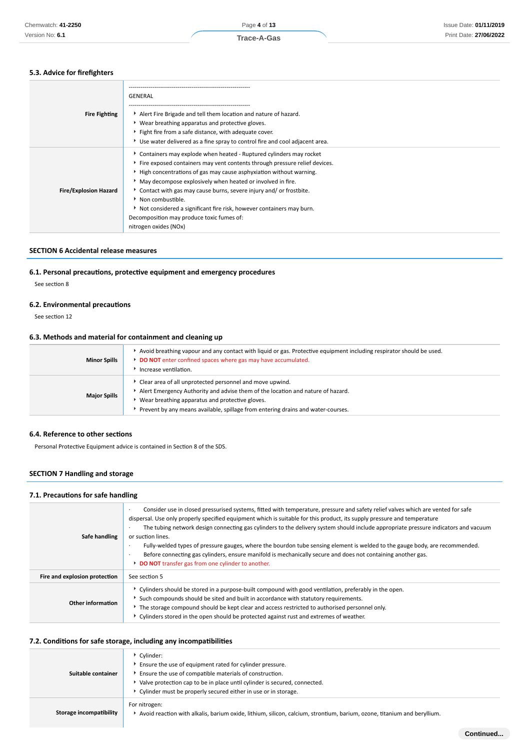# **5.3. Advice for firefighters**

| <b>Fire Fighting</b>         | GENERAL<br>Alert Fire Brigade and tell them location and nature of hazard.<br>Wear breathing apparatus and protective gloves.<br>Fight fire from a safe distance, with adequate cover.<br>▶ Use water delivered as a fine spray to control fire and cool adjacent area.                                                                                                                                                                                                                                                      |
|------------------------------|------------------------------------------------------------------------------------------------------------------------------------------------------------------------------------------------------------------------------------------------------------------------------------------------------------------------------------------------------------------------------------------------------------------------------------------------------------------------------------------------------------------------------|
| <b>Fire/Explosion Hazard</b> | Containers may explode when heated - Ruptured cylinders may rocket<br>Fire exposed containers may vent contents through pressure relief devices.<br>High concentrations of gas may cause asphyxiation without warning.<br>May decompose explosively when heated or involved in fire.<br>Contact with gas may cause burns, severe injury and/ or frostbite.<br>Non combustible.<br>Not considered a significant fire risk, however containers may burn.<br>Decomposition may produce toxic fumes of:<br>nitrogen oxides (NOx) |

## **SECTION 6 Accidental release measures**

#### **6.1. Personal precautions, protective equipment and emergency procedures**

See section 8

#### **6.2. Environmental precautions**

See section 12

#### **6.3. Methods and material for containment and cleaning up**

| <b>Minor Spills</b> | Avoid breathing vapour and any contact with liquid or gas. Protective equipment including respirator should be used.<br>DO NOT enter confined spaces where gas may have accumulated.<br>Increase ventilation.                                                                      |
|---------------------|------------------------------------------------------------------------------------------------------------------------------------------------------------------------------------------------------------------------------------------------------------------------------------|
| <b>Major Spills</b> | Clear area of all unprotected personnel and move upwind.<br>Alert Emergency Authority and advise them of the location and nature of hazard.<br>Wear breathing apparatus and protective gloves.<br>Prevent by any means available, spillage from entering drains and water-courses. |

#### **6.4. Reference to other sections**

Personal Protective Equipment advice is contained in Section 8 of the SDS.

# **SECTION 7 Handling and storage**

#### **7.1. Precautions for safe handling**

| Safe handling                 | Consider use in closed pressurised systems, fitted with temperature, pressure and safety relief valves which are vented for safe<br>dispersal. Use only properly specified equipment which is suitable for this product, its supply pressure and temperature<br>The tubing network design connecting gas cylinders to the delivery system should include appropriate pressure indicators and vacuum<br>or suction lines.<br>Fully-welded types of pressure gauges, where the bourdon tube sensing element is welded to the gauge body, are recommended.<br>$\cdot$<br>Before connecting gas cylinders, ensure manifold is mechanically secure and does not containing another gas.<br><b>DO NOT</b> transfer gas from one cylinder to another. |
|-------------------------------|------------------------------------------------------------------------------------------------------------------------------------------------------------------------------------------------------------------------------------------------------------------------------------------------------------------------------------------------------------------------------------------------------------------------------------------------------------------------------------------------------------------------------------------------------------------------------------------------------------------------------------------------------------------------------------------------------------------------------------------------|
| Fire and explosion protection | See section 5                                                                                                                                                                                                                                                                                                                                                                                                                                                                                                                                                                                                                                                                                                                                  |
| Other information             | ▶ Cylinders should be stored in a purpose-built compound with good ventilation, preferably in the open.<br>Such compounds should be sited and built in accordance with statutory requirements.<br>► The storage compound should be kept clear and access restricted to authorised personnel only.<br>▶ Cylinders stored in the open should be protected against rust and extremes of weather.                                                                                                                                                                                                                                                                                                                                                  |

# **7.2. Conditions for safe storage, including any incompatibilities**

| Suitable container      | Cylinder:<br>Ensure the use of equipment rated for cylinder pressure.<br>Ensure the use of compatible materials of construction.<br>> Valve protection cap to be in place until cylinder is secured, connected.<br>• Cylinder must be properly secured either in use or in storage. |
|-------------------------|-------------------------------------------------------------------------------------------------------------------------------------------------------------------------------------------------------------------------------------------------------------------------------------|
| Storage incompatibility | For nitrogen:<br>Avoid reaction with alkalis, barium oxide, lithium, silicon, calcium, strontium, barium, ozone, titanium and beryllium.                                                                                                                                            |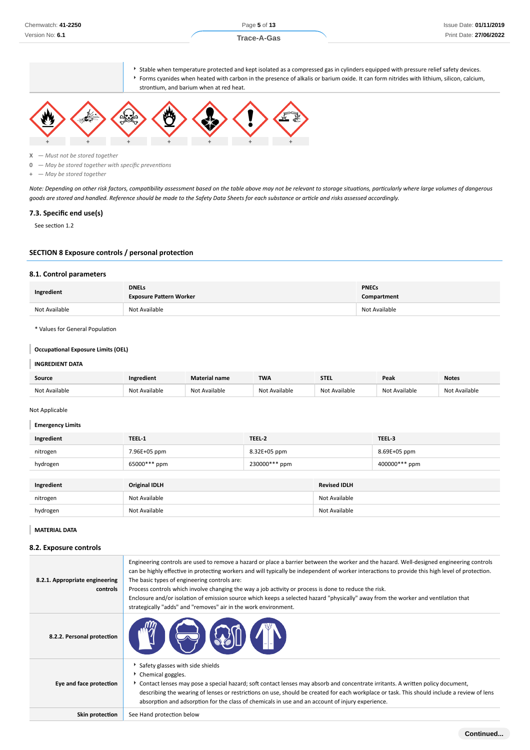▶ Stable when temperature protected and kept isolated as a compressed gas in cylinders equipped with pressure relief safety devices. Forms cyanides when heated with carbon in the presence of alkalis or barium oxide. It can form nitrides with lithium, silicon, calcium,





**X** *— Must not be stored together*

**0** *— May be stored together with specific preventions*

**+** *— May be stored together*

*Note: Depending on other risk factors, compatibility assessment based on the table above may not be relevant to storage situations, particularly where large volumes of dangerous goods are stored and handled. Reference should be made to the Safety Data Sheets for each substance or article and risks assessed accordingly.*

#### **7.3. Specific end use(s)**

See section 1.2

#### **SECTION 8 Exposure controls / personal protection**

#### **8.1. Control parameters**

| Ingredient    | <b>DNELs</b><br><b>Exposure Pattern Worker</b> | <b>PNECs</b><br>Compartment |  |
|---------------|------------------------------------------------|-----------------------------|--|
| Not Available | Not Available                                  | Not Available               |  |

\* Values for General Population

# **Occupational Exposure Limits (OEL)**

#### **INGREDIENT DATA**

| Source        | Ingredient        | <b>Material name</b> | <b>TWA</b>           | <b>STEL</b> | Peak      | <b>Notes</b>      |
|---------------|-------------------|----------------------|----------------------|-------------|-----------|-------------------|
| Not Available | Available<br>۸Ιωτ | Not Available        | $\cdots$<br>railable |             | Available | Available<br>Not. |

#### Not Applicable

 $\mathbb{R}^2$ 

| <b>Emergency Limits</b> |                      |               |                     |               |  |  |  |
|-------------------------|----------------------|---------------|---------------------|---------------|--|--|--|
| Ingredient              | TEEL-1               | TEEL-2        |                     | TEEL-3        |  |  |  |
| nitrogen                | 7.96E+05 ppm         | 8.32E+05 ppm  |                     | 8.69E+05 ppm  |  |  |  |
| hydrogen                | 65000*** ppm         | 230000*** ppm |                     | 400000*** ppm |  |  |  |
|                         |                      |               |                     |               |  |  |  |
| Ingredient              | <b>Original IDLH</b> |               | <b>Revised IDLH</b> |               |  |  |  |
| nitrogen                | Not Available        |               | Not Available       |               |  |  |  |
| hydrogen                | Not Available        |               | Not Available       |               |  |  |  |

**MATERIAL DATA**

#### **8.2. Exposure controls**

| 8.2.1. Appropriate engineering<br>controls | Engineering controls are used to remove a hazard or place a barrier between the worker and the hazard. Well-designed engineering controls<br>can be highly effective in protecting workers and will typically be independent of worker interactions to provide this high level of protection.<br>The basic types of engineering controls are:<br>Process controls which involve changing the way a job activity or process is done to reduce the risk.<br>Enclosure and/or isolation of emission source which keeps a selected hazard "physically" away from the worker and ventilation that<br>strategically "adds" and "removes" air in the work environment. |
|--------------------------------------------|-----------------------------------------------------------------------------------------------------------------------------------------------------------------------------------------------------------------------------------------------------------------------------------------------------------------------------------------------------------------------------------------------------------------------------------------------------------------------------------------------------------------------------------------------------------------------------------------------------------------------------------------------------------------|
| 8.2.2. Personal protection                 |                                                                                                                                                                                                                                                                                                                                                                                                                                                                                                                                                                                                                                                                 |
| Eye and face protection                    | Safety glasses with side shields<br>▶ Chemical goggles.<br>► Contact lenses may pose a special hazard; soft contact lenses may absorb and concentrate irritants. A written policy document,<br>describing the wearing of lenses or restrictions on use, should be created for each workplace or task. This should include a review of lens<br>absorption and adsorption for the class of chemicals in use and an account of injury experience.                                                                                                                                                                                                                  |
| Skin protection                            | See Hand protection below                                                                                                                                                                                                                                                                                                                                                                                                                                                                                                                                                                                                                                       |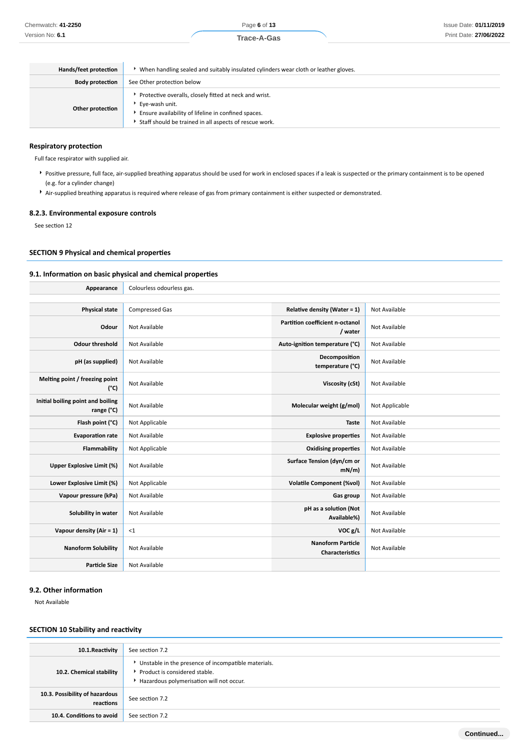Page **6** of **13**

| Hands/feet protection  | When handling sealed and suitably insulated cylinders wear cloth or leather gloves.                                                                                                       |  |  |  |  |  |
|------------------------|-------------------------------------------------------------------------------------------------------------------------------------------------------------------------------------------|--|--|--|--|--|
| <b>Body protection</b> | See Other protection below                                                                                                                                                                |  |  |  |  |  |
| Other protection       | Protective overalls, closely fitted at neck and wrist.<br>Eye-wash unit.<br>Ensure availability of lifeline in confined spaces.<br>Staff should be trained in all aspects of rescue work. |  |  |  |  |  |

#### **Respiratory protection**

Full face respirator with supplied air.

- Positive pressure, full face, air-supplied breathing apparatus should be used for work in enclosed spaces if a leak is suspected or the primary containment is to be opened (e.g. for a cylinder change)
- Air-supplied breathing apparatus is required where release of gas from primary containment is either suspected or demonstrated.

#### **8.2.3. Environmental exposure controls**

See section 12

#### **SECTION 9 Physical and chemical properties**

#### **9.1. Information on basic physical and chemical properties**

| Appearance                                      | Colourless odourless gas. |                                                    |                |  |  |  |  |
|-------------------------------------------------|---------------------------|----------------------------------------------------|----------------|--|--|--|--|
|                                                 |                           |                                                    |                |  |  |  |  |
| <b>Physical state</b>                           | <b>Compressed Gas</b>     | Relative density (Water = $1$ )                    | Not Available  |  |  |  |  |
| Odour                                           | Not Available             | Partition coefficient n-octanol<br>/ water         | Not Available  |  |  |  |  |
| <b>Odour threshold</b>                          | Not Available             | Auto-ignition temperature (°C)                     | Not Available  |  |  |  |  |
| pH (as supplied)                                | Not Available             | Decomposition<br>temperature (°C)                  | Not Available  |  |  |  |  |
| Melting point / freezing point<br>$(^{\circ}C)$ | Not Available             | Viscosity (cSt)                                    | Not Available  |  |  |  |  |
| Initial boiling point and boiling<br>range (°C) | Not Available             | Molecular weight (g/mol)                           | Not Applicable |  |  |  |  |
| Flash point (°C)                                | Not Applicable            | Taste                                              | Not Available  |  |  |  |  |
| <b>Evaporation rate</b>                         | Not Available             | <b>Explosive properties</b>                        | Not Available  |  |  |  |  |
| Flammability                                    | Not Applicable            | <b>Oxidising properties</b>                        | Not Available  |  |  |  |  |
| <b>Upper Explosive Limit (%)</b>                | Not Available             | Surface Tension (dyn/cm or<br>$mN/m$ )             | Not Available  |  |  |  |  |
| Lower Explosive Limit (%)                       | Not Applicable            | <b>Volatile Component (%vol)</b>                   | Not Available  |  |  |  |  |
| Vapour pressure (kPa)                           | Not Available             | Gas group                                          | Not Available  |  |  |  |  |
| Solubility in water                             | Not Available             | pH as a solution (Not<br>Available%)               | Not Available  |  |  |  |  |
| Vapour density (Air = 1)                        | <1                        | VOC g/L                                            | Not Available  |  |  |  |  |
| <b>Nanoform Solubility</b>                      | Not Available             | <b>Nanoform Particle</b><br><b>Characteristics</b> | Not Available  |  |  |  |  |
| <b>Particle Size</b>                            | Not Available             |                                                    |                |  |  |  |  |

## **9.2. Other information**

Not Available

## **SECTION 10 Stability and reactivity**

| 10.1.Reactivity                             | See section 7.2                                                                                                                    |
|---------------------------------------------|------------------------------------------------------------------------------------------------------------------------------------|
| 10.2. Chemical stability                    | Unstable in the presence of incompatible materials.<br>▶ Product is considered stable.<br>Hazardous polymerisation will not occur. |
| 10.3. Possibility of hazardous<br>reactions | See section 7.2                                                                                                                    |
| 10.4. Conditions to avoid                   | See section 7.2                                                                                                                    |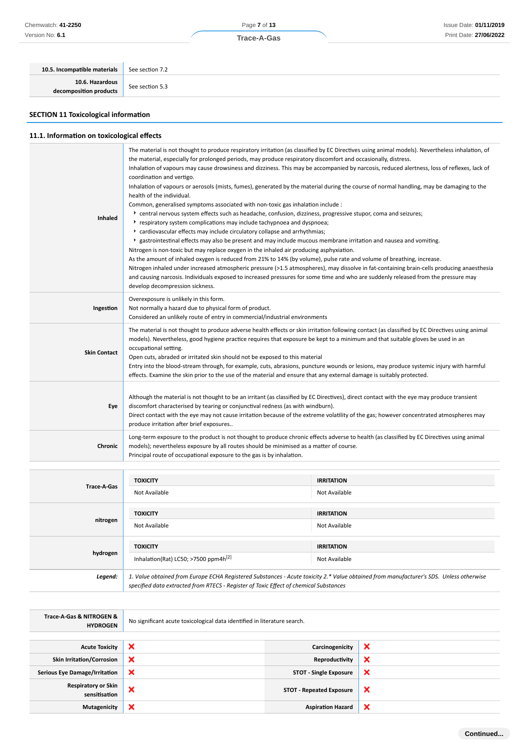| Chemwatch: 41-2250                        |                 | Page 7 of 13 |  | Issue Date: 01/11/2019 |
|-------------------------------------------|-----------------|--------------|--|------------------------|
| Version No: 6.1                           |                 | Trace-A-Gas  |  | Print Date: 27/06/2022 |
|                                           |                 |              |  |                        |
| 10.5. Incompatible materials              | See section 7.2 |              |  |                        |
| 10.6. Hazardous<br>decomposition assolute | See section 5.3 |              |  |                        |

# **SECTION 11 Toxicological information**

**decomposition products**

# **11.1. Information on toxicological effects**

| <b>Inhaled</b>      | The material is not thought to produce respiratory irritation (as classified by EC Directives using animal models). Nevertheless inhalation, of<br>the material, especially for prolonged periods, may produce respiratory discomfort and occasionally, distress.<br>Inhalation of vapours may cause drowsiness and dizziness. This may be accompanied by narcosis, reduced alertness, loss of reflexes, lack of<br>coordination and vertigo.<br>Inhalation of vapours or aerosols (mists, fumes), generated by the material during the course of normal handling, may be damaging to the<br>health of the individual.<br>Common, generalised symptoms associated with non-toxic gas inhalation include :<br>* central nervous system effects such as headache, confusion, dizziness, progressive stupor, coma and seizures;<br>respiratory system complications may include tachypnoea and dyspnoea;<br>* cardiovascular effects may include circulatory collapse and arrhythmias;<br>▶ gastrointestinal effects may also be present and may include mucous membrane irritation and nausea and vomiting.<br>Nitrogen is non-toxic but may replace oxygen in the inhaled air producing asphyxiation.<br>As the amount of inhaled oxygen is reduced from 21% to 14% (by volume), pulse rate and volume of breathing, increase.<br>Nitrogen inhaled under increased atmospheric pressure (>1.5 atmospheres), may dissolve in fat-containing brain-cells producing anaesthesia<br>and causing narcosis. Individuals exposed to increased pressures for some time and who are suddenly released from the pressure may<br>develop decompression sickness. |
|---------------------|------------------------------------------------------------------------------------------------------------------------------------------------------------------------------------------------------------------------------------------------------------------------------------------------------------------------------------------------------------------------------------------------------------------------------------------------------------------------------------------------------------------------------------------------------------------------------------------------------------------------------------------------------------------------------------------------------------------------------------------------------------------------------------------------------------------------------------------------------------------------------------------------------------------------------------------------------------------------------------------------------------------------------------------------------------------------------------------------------------------------------------------------------------------------------------------------------------------------------------------------------------------------------------------------------------------------------------------------------------------------------------------------------------------------------------------------------------------------------------------------------------------------------------------------------------------------------------------------------------------------------------------------------|
| Ingestion           | Overexposure is unlikely in this form.<br>Not normally a hazard due to physical form of product.<br>Considered an unlikely route of entry in commercial/industrial environments                                                                                                                                                                                                                                                                                                                                                                                                                                                                                                                                                                                                                                                                                                                                                                                                                                                                                                                                                                                                                                                                                                                                                                                                                                                                                                                                                                                                                                                                      |
| <b>Skin Contact</b> | The material is not thought to produce adverse health effects or skin irritation following contact (as classified by EC Directives using animal<br>models). Nevertheless, good hygiene practice requires that exposure be kept to a minimum and that suitable gloves be used in an<br>occupational setting.<br>Open cuts, abraded or irritated skin should not be exposed to this material<br>Entry into the blood-stream through, for example, cuts, abrasions, puncture wounds or lesions, may produce systemic injury with harmful<br>effects. Examine the skin prior to the use of the material and ensure that any external damage is suitably protected.                                                                                                                                                                                                                                                                                                                                                                                                                                                                                                                                                                                                                                                                                                                                                                                                                                                                                                                                                                                       |
| Eye                 | Although the material is not thought to be an irritant (as classified by EC Directives), direct contact with the eye may produce transient<br>discomfort characterised by tearing or conjunctival redness (as with windburn).<br>Direct contact with the eye may not cause irritation because of the extreme volatility of the gas; however concentrated atmospheres may<br>produce irritation after brief exposures                                                                                                                                                                                                                                                                                                                                                                                                                                                                                                                                                                                                                                                                                                                                                                                                                                                                                                                                                                                                                                                                                                                                                                                                                                 |
| Chronic             | Long-term exposure to the product is not thought to produce chronic effects adverse to health (as classified by EC Directives using animal<br>models); nevertheless exposure by all routes should be minimised as a matter of course.<br>Principal route of occupational exposure to the gas is by inhalation.                                                                                                                                                                                                                                                                                                                                                                                                                                                                                                                                                                                                                                                                                                                                                                                                                                                                                                                                                                                                                                                                                                                                                                                                                                                                                                                                       |

| Trace-A-Gas | <b>TOXICITY</b><br>Not Available                                                                                                                                                                                                | <b>IRRITATION</b><br>Not Available |  |
|-------------|---------------------------------------------------------------------------------------------------------------------------------------------------------------------------------------------------------------------------------|------------------------------------|--|
| nitrogen    | <b>TOXICITY</b><br>Not Available                                                                                                                                                                                                | <b>IRRITATION</b><br>Not Available |  |
| hydrogen    | <b>TOXICITY</b><br>Inhalation(Rat) LC50; >7500 ppm4h <sup>[2]</sup>                                                                                                                                                             | <b>IRRITATION</b><br>Not Available |  |
| Legend:     | 1. Value obtained from Europe ECHA Registered Substances - Acute toxicity 2.* Value obtained from manufacturer's SDS. Unless otherwise<br>specified data extracted from RTECS - Register of Toxic Effect of chemical Substances |                                    |  |

| Trace-A-Gas & NITROGEN &<br><b>HYDROGEN</b> | No significant acute toxicological data identified in literature search. |                                 |   |  |
|---------------------------------------------|--------------------------------------------------------------------------|---------------------------------|---|--|
|                                             |                                                                          |                                 |   |  |
| <b>Acute Toxicity</b>                       | ×                                                                        | Carcinogenicity                 | × |  |
| <b>Skin Irritation/Corrosion</b>            | $\boldsymbol{\mathsf{x}}$                                                | Reproductivity                  | × |  |
| <b>Serious Eye Damage/Irritation</b>        | $\boldsymbol{\mathsf{x}}$                                                | <b>STOT - Single Exposure</b>   | × |  |
| <b>Respiratory or Skin</b><br>sensitisation | ×                                                                        | <b>STOT - Repeated Exposure</b> | × |  |
| Mutagenicity                                | ×                                                                        | <b>Aspiration Hazard</b>        | × |  |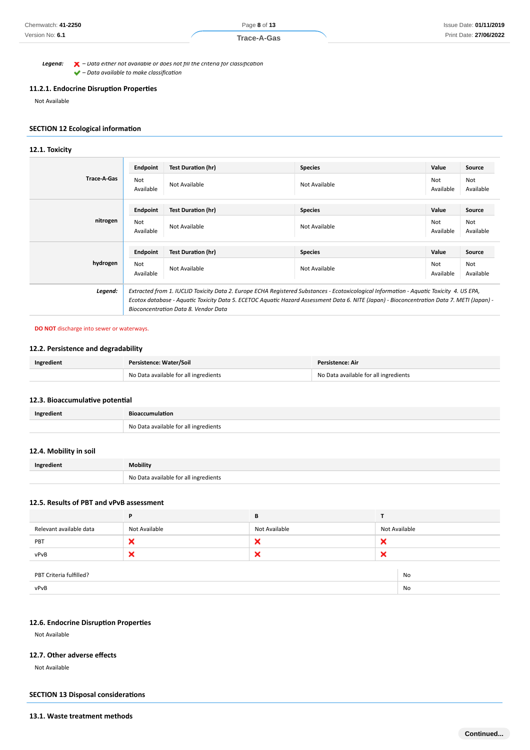#### **Trace-A-Gas**

*Legend: – Data either not available or does not fill the criteria for classification – Data available to make classification*

# **11.2.1. Endocrine Disruption Properties**

Not Available

# **SECTION 12 Ecological information**

#### **12.1. Toxicity**

|                    | Endpoint                                                                                                                                   | <b>Test Duration (hr)</b> | <b>Species</b> | Value            | Source           |
|--------------------|--------------------------------------------------------------------------------------------------------------------------------------------|---------------------------|----------------|------------------|------------------|
| <b>Trace-A-Gas</b> | Not<br>Available                                                                                                                           | Not Available             | Not Available  | Not<br>Available | Not<br>Available |
|                    | Endpoint                                                                                                                                   | <b>Test Duration (hr)</b> | <b>Species</b> | Value            | Source           |
| nitrogen           | Not<br>Available                                                                                                                           | Not Available             | Not Available  | Not<br>Available | Not<br>Available |
|                    | Endpoint                                                                                                                                   | <b>Test Duration (hr)</b> | <b>Species</b> | Value            | Source           |
| hydrogen           | <b>Not</b><br>Available                                                                                                                    | Not Available             | Not Available  | Not<br>Available | Not<br>Available |
| Legend:            | Extracted from 1. IUCLID Toxicity Data 2. Europe ECHA Registered Substances - Ecotoxicological Information - Aquatic Toxicity 4. US EPA,   |                           |                |                  |                  |
|                    | Ecotox database - Aquatic Toxicity Data 5. ECETOC Aquatic Hazard Assessment Data 6. NITE (Japan) - Bioconcentration Data 7. METI (Japan) - |                           |                |                  |                  |
|                    | Bioconcentration Data 8. Vendor Data                                                                                                       |                           |                |                  |                  |

#### **DO NOT** discharge into sewer or waterways.

# **12.2. Persistence and degradability**

| Ingredient | Persistence: Water/Soil               | Persistence: Air                      |  |
|------------|---------------------------------------|---------------------------------------|--|
|            | No Data available for all ingredients | No Data available for all ingredients |  |

#### **12.3. Bioaccumulative potential**

| Ingredient | <b>Bioaccumulation</b>                |
|------------|---------------------------------------|
|            | No Data available for all ingredients |

#### **12.4. Mobility in soil**

| Ingredient | <b>Mobility</b>                       |
|------------|---------------------------------------|
|            | No Data available for all ingredients |

#### **12.5. Results of PBT and vPvB assessment**

|                         | P             | В             |   |               |  |
|-------------------------|---------------|---------------|---|---------------|--|
| Relevant available data | Not Available | Not Available |   | Not Available |  |
| PBT                     | ×             | ×             | × |               |  |
| vPvB                    | ×             | ×             | × |               |  |
|                         |               |               |   |               |  |
| PBT Criteria fulfilled? |               |               |   | No            |  |
| vPvB                    |               |               |   | No            |  |

## **12.6. Endocrine Disruption Properties**

Not Available

## **12.7. Other adverse effects**

Not Available

## **SECTION 13 Disposal considerations**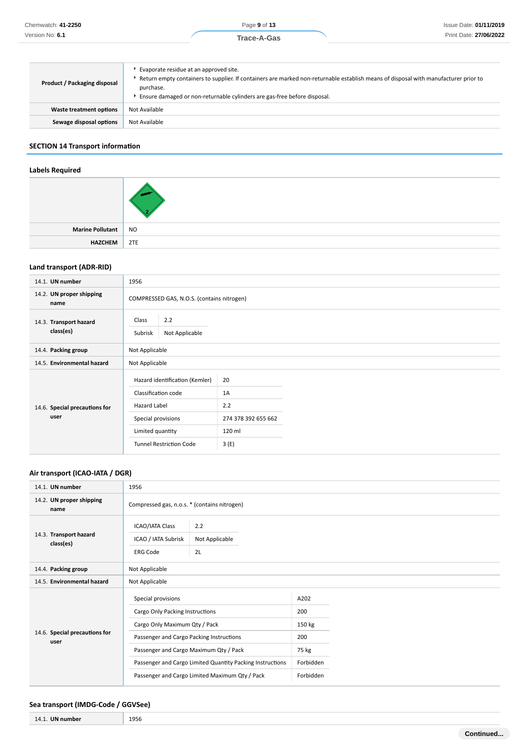| Product / Packaging disposal | Evaporate residue at an approved site.<br>Return empty containers to supplier. If containers are marked non-returnable establish means of disposal with manufacturer prior to<br>purchase.<br>Ensure damaged or non-returnable cylinders are gas-free before disposal. |
|------------------------------|------------------------------------------------------------------------------------------------------------------------------------------------------------------------------------------------------------------------------------------------------------------------|
| Waste treatment options      | Not Available                                                                                                                                                                                                                                                          |
| Sewage disposal options      | Not Available                                                                                                                                                                                                                                                          |

# **SECTION 14 Transport information**

# **Labels Required**

| Marine Pollutant   NO |         |
|-----------------------|---------|
| <b>HAZCHEM</b>        | $ $ 2TE |

# **Land transport (ADR-RID)**

| 14.1. UN number                       | 1956                                                                                        |                                        |  |
|---------------------------------------|---------------------------------------------------------------------------------------------|----------------------------------------|--|
| 14.2. UN proper shipping<br>name      | COMPRESSED GAS, N.O.S. (contains nitrogen)                                                  |                                        |  |
| 14.3. Transport hazard<br>class(es)   | 2.2<br>Class<br>Not Applicable<br>Subrisk                                                   |                                        |  |
| 14.4. Packing group                   | Not Applicable                                                                              |                                        |  |
| 14.5. Environmental hazard            | Not Applicable                                                                              |                                        |  |
| 14.6. Special precautions for<br>user | Hazard identification (Kemler)<br>Classification code<br>Hazard Label<br>Special provisions | 20<br>1A<br>2.2<br>274 378 392 655 662 |  |
|                                       | Limited quantity                                                                            | 120 ml                                 |  |
|                                       | <b>Tunnel Restriction Code</b>                                                              | 3(E)                                   |  |

# **Air transport (ICAO-IATA / DGR)**

| 14.1. UN number                       | 1956                                                                                                                                                                                                                                                                                        |                                              |                                                                 |  |  |
|---------------------------------------|---------------------------------------------------------------------------------------------------------------------------------------------------------------------------------------------------------------------------------------------------------------------------------------------|----------------------------------------------|-----------------------------------------------------------------|--|--|
| 14.2. UN proper shipping<br>name      |                                                                                                                                                                                                                                                                                             | Compressed gas, n.o.s. * (contains nitrogen) |                                                                 |  |  |
| 14.3. Transport hazard<br>class(es)   | <b>ICAO/IATA Class</b><br>2.2<br>ICAO / IATA Subrisk<br>Not Applicable<br>2L<br><b>ERG Code</b>                                                                                                                                                                                             |                                              |                                                                 |  |  |
| 14.4. Packing group                   | Not Applicable                                                                                                                                                                                                                                                                              |                                              |                                                                 |  |  |
| 14.5. Environmental hazard            | Not Applicable                                                                                                                                                                                                                                                                              |                                              |                                                                 |  |  |
| 14.6. Special precautions for<br>user | Special provisions<br>Cargo Only Packing Instructions<br>Cargo Only Maximum Qty / Pack<br>Passenger and Cargo Packing Instructions<br>Passenger and Cargo Maximum Qty / Pack<br>Passenger and Cargo Limited Quantity Packing Instructions<br>Passenger and Cargo Limited Maximum Qty / Pack |                                              | A202<br>200<br>150 kg<br>200<br>75 kg<br>Forbidden<br>Forbidden |  |  |

#### **Sea transport (IMDG-Code / GGVSee)**

| .<br>14.<br>numher | 1956 |   |
|--------------------|------|---|
|                    |      | . |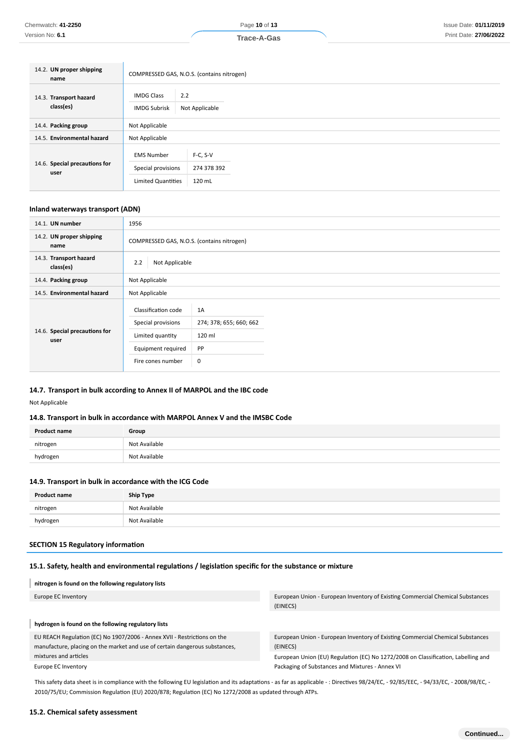| Trace-A-Gas |  |
|-------------|--|
|             |  |

| 14.2. UN proper shipping<br>name      |                                                                      | COMPRESSED GAS, N.O.S. (contains nitrogen) |  |  |
|---------------------------------------|----------------------------------------------------------------------|--------------------------------------------|--|--|
| 14.3. Transport hazard<br>class(es)   | <b>IMDG Class</b><br><b>IMDG Subrisk</b>                             | 2.2<br>Not Applicable                      |  |  |
| 14.4. Packing group                   | Not Applicable                                                       |                                            |  |  |
| 14.5. Environmental hazard            | Not Applicable                                                       |                                            |  |  |
| 14.6. Special precautions for<br>user | <b>EMS Number</b><br>Special provisions<br><b>Limited Quantities</b> | $F-C, S-V$<br>274 378 392<br>120 mL        |  |  |

## **Inland waterways transport (ADN)**

| 14.1. UN number                       | 1956                                                                                                     |                                                           |  |
|---------------------------------------|----------------------------------------------------------------------------------------------------------|-----------------------------------------------------------|--|
| 14.2. UN proper shipping<br>name      | COMPRESSED GAS, N.O.S. (contains nitrogen)                                                               |                                                           |  |
| 14.3. Transport hazard<br>class(es)   | 2.2<br>Not Applicable                                                                                    |                                                           |  |
| 14.4. Packing group                   | Not Applicable                                                                                           |                                                           |  |
| 14.5. Environmental hazard            | Not Applicable                                                                                           |                                                           |  |
| 14.6. Special precautions for<br>user | Classification code<br>Special provisions<br>Limited quantity<br>Equipment required<br>Fire cones number | 1A<br>274; 378; 655; 660; 662<br>120 ml<br><b>PP</b><br>0 |  |

#### **14.7. Transport in bulk according to Annex II of MARPOL and the IBC code**

Not Applicable

## **14.8. Transport in bulk in accordance with MARPOL Annex V and the IMSBC Code**

| <b>Product name</b> | Group         |
|---------------------|---------------|
| nitrogen            | Not Available |
| hydrogen            | Not Available |

#### **14.9. Transport in bulk in accordance with the ICG Code**

| <b>Product name</b> | <b>Ship Type</b> |
|---------------------|------------------|
| nitrogen            | Not Available    |
| hydrogen            | Not Available    |

#### **SECTION 15 Regulatory information**

# **15.1. Safety, health and environmental regulations / legislation specific for the substance or mixture**

# **nitrogen is found on the following regulatory lists**

| Europe EC Inventory                                                         | European Union - European Inventory of Existing Commercial Chemical Substances    |
|-----------------------------------------------------------------------------|-----------------------------------------------------------------------------------|
|                                                                             | (EINECS)                                                                          |
|                                                                             |                                                                                   |
| hydrogen is found on the following regulatory lists                         |                                                                                   |
| EU REACH Regulation (EC) No 1907/2006 - Annex XVII - Restrictions on the    | European Union - European Inventory of Existing Commercial Chemical Substances    |
| manufacture, placing on the market and use of certain dangerous substances, | (EINECS)                                                                          |
| mixtures and articles                                                       | European Union (EU) Regulation (EC) No 1272/2008 on Classification, Labelling and |
| Europe EC Inventory                                                         | Packaging of Substances and Mixtures - Annex VI                                   |

This safety data sheet is in compliance with the following EU legislation and its adaptations - as far as applicable -: Directives 98/24/EC, - 92/85/EEC, - 94/33/EC, - 2008/98/EC, -2010/75/EU; Commission Regulation (EU) 2020/878; Regulation (EC) No 1272/2008 as updated through ATPs.

## **15.2. Chemical safety assessment**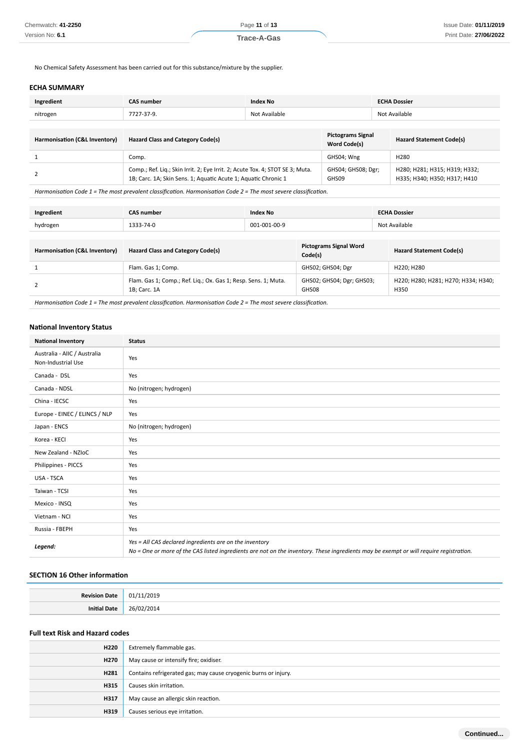No Chemical Safety Assessment has been carried out for this substance/mixture by the supplier.

#### **ECHA SUMMARY**

| Ingredient                    | <b>CAS number</b><br><b>Index No</b>                                                                                                                                                                                                 |  |                                                 | <b>ECHA Dossier</b> |                                                               |
|-------------------------------|--------------------------------------------------------------------------------------------------------------------------------------------------------------------------------------------------------------------------------------|--|-------------------------------------------------|---------------------|---------------------------------------------------------------|
| nitrogen                      | Not Available<br>7727-37-9.                                                                                                                                                                                                          |  | Not Available                                   |                     |                                                               |
|                               |                                                                                                                                                                                                                                      |  |                                                 |                     |                                                               |
| Harmonisation (C&L Inventory) | <b>Hazard Class and Category Code(s)</b>                                                                                                                                                                                             |  | <b>Pictograms Signal</b><br><b>Word Code(s)</b> |                     | <b>Hazard Statement Code(s)</b>                               |
|                               | Comp.                                                                                                                                                                                                                                |  | GHS04; Wng                                      | H <sub>280</sub>    |                                                               |
|                               | Comp.; Ref. Liq.; Skin Irrit. 2; Eye Irrit. 2; Acute Tox. 4; STOT SE 3; Muta.<br>1B; Carc. 1A; Skin Sens. 1; Aquatic Acute 1; Aquatic Chronic 1                                                                                      |  | GHS04; GHS08; Dgr;<br>GHS09                     |                     | H280; H281; H315; H319; H332;<br>H335; H340; H350; H317; H410 |
|                               | $\mathcal{L}^{(1)}$ , and a set of the set of the set of the set of the set of the set of the set of the set of the set of the set of the set of the set of the set of the set of the set of the set of the set of the set of the se |  |                                                 |                     |                                                               |

*Harmonisation Code 1 = The most prevalent classification. Harmonisation Code 2 = The most severe classification.*

| Ingredient                    | <b>CAS number</b><br><b>Index No</b>                                           |  |                                          |               | <b>ECHA Dossier</b>                         |
|-------------------------------|--------------------------------------------------------------------------------|--|------------------------------------------|---------------|---------------------------------------------|
| hydrogen                      | 001-001-00-9<br>1333-74-0                                                      |  |                                          | Not Available |                                             |
|                               |                                                                                |  |                                          |               |                                             |
| Harmonisation (C&L Inventory) | Hazard Class and Category Code(s)                                              |  | <b>Pictograms Signal Word</b><br>Code(s) |               | <b>Hazard Statement Code(s)</b>             |
|                               | Flam. Gas 1; Comp.                                                             |  | GHS02; GHS04; Dgr                        |               | H220; H280                                  |
|                               | Flam. Gas 1; Comp.; Ref. Liq.; Ox. Gas 1; Resp. Sens. 1; Muta.<br>1B; Carc. 1A |  | GHS02; GHS04; Dgr; GHS03;<br>GHS08       |               | H220; H280; H281; H270; H334; H340;<br>H350 |

*Harmonisation Code 1 = The most prevalent classification. Harmonisation Code 2 = The most severe classification.*

#### **National Inventory Status**

| <b>National Inventory</b>                          | <b>Status</b>                                                                                                                                                                                     |
|----------------------------------------------------|---------------------------------------------------------------------------------------------------------------------------------------------------------------------------------------------------|
| Australia - AIIC / Australia<br>Non-Industrial Use | Yes                                                                                                                                                                                               |
| Canada - DSL                                       | Yes                                                                                                                                                                                               |
| Canada - NDSL                                      | No (nitrogen; hydrogen)                                                                                                                                                                           |
| China - IECSC                                      | Yes                                                                                                                                                                                               |
| Europe - EINEC / ELINCS / NLP                      | Yes                                                                                                                                                                                               |
| Japan - ENCS                                       | No (nitrogen; hydrogen)                                                                                                                                                                           |
| Korea - KECI                                       | Yes                                                                                                                                                                                               |
| New Zealand - NZIoC                                | Yes                                                                                                                                                                                               |
| Philippines - PICCS                                | Yes                                                                                                                                                                                               |
| USA - TSCA                                         | Yes                                                                                                                                                                                               |
| Taiwan - TCSI                                      | Yes                                                                                                                                                                                               |
| Mexico - INSQ                                      | Yes                                                                                                                                                                                               |
| Vietnam - NCI                                      | Yes                                                                                                                                                                                               |
| Russia - FBEPH                                     | Yes                                                                                                                                                                                               |
| Legend:                                            | Yes = All CAS declared ingredients are on the inventory<br>No = One or more of the CAS listed ingredients are not on the inventory. These ingredients may be exempt or will require registration. |

#### **SECTION 16 Other information**

| <b>Revision Date</b> | 2019<br>011 |
|----------------------|-------------|
| Initial Date         | 26/02/2014  |

# **Full text Risk and Hazard codes**

| H220             | Extremely flammable gas.                                        |
|------------------|-----------------------------------------------------------------|
| H <sub>270</sub> | May cause or intensify fire; oxidiser.                          |
| H281             | Contains refrigerated gas; may cause cryogenic burns or injury. |
| H315             | Causes skin irritation.                                         |
| H317             | May cause an allergic skin reaction.                            |
| H319             | Causes serious eye irritation.                                  |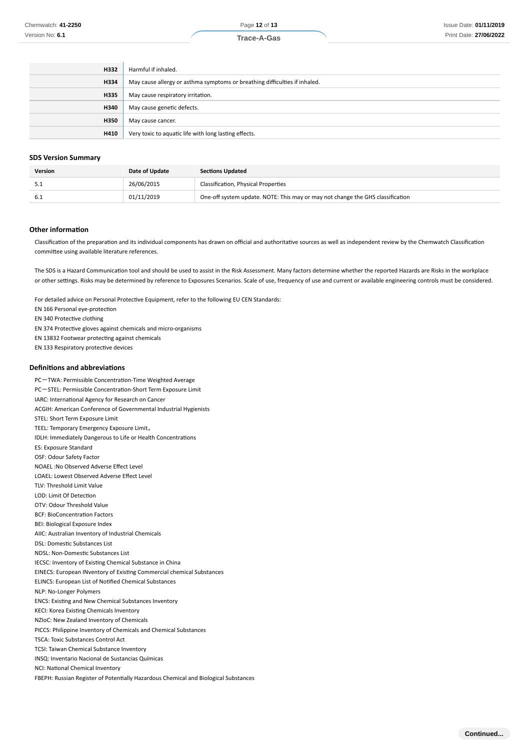| H332 | Harmful if inhaled.                                                        |
|------|----------------------------------------------------------------------------|
| H334 | May cause allergy or asthma symptoms or breathing difficulties if inhaled. |
| H335 | May cause respiratory irritation.                                          |
| H340 | May cause genetic defects.                                                 |
| H350 | May cause cancer.                                                          |
| H410 | Very toxic to aquatic life with long lasting effects.                      |

#### **SDS Version Summary**

| <b>Version</b> | Date of Update | <b>Sections Updated</b>                                                        |
|----------------|----------------|--------------------------------------------------------------------------------|
| ۰۰.۱           | 26/06/2015     | Classification, Physical Properties                                            |
| -6.1           | 01/11/2019     | One-off system update. NOTE: This may or may not change the GHS classification |

#### **Other information**

Classification of the preparation and its individual components has drawn on official and authoritative sources as well as independent review by the Chemwatch Classification committee using available literature references.

The SDS is a Hazard Communication tool and should be used to assist in the Risk Assessment. Many factors determine whether the reported Hazards are Risks in the workplace or other settings. Risks may be determined by reference to Exposures Scenarios. Scale of use, frequency of use and current or available engineering controls must be considered.

For detailed advice on Personal Protective Equipment, refer to the following EU CEN Standards:

EN 166 Personal eye-protection

EN 340 Protective clothing

EN 374 Protective gloves against chemicals and micro-organisms

EN 13832 Footwear protecting against chemicals

EN 133 Respiratory protective devices

#### **Definitions and abbreviations**

PC-TWA: Permissible Concentration-Time Weighted Average PC-STEL: Permissible Concentration-Short Term Exposure Limit IARC: International Agency for Research on Cancer ACGIH: American Conference of Governmental Industrial Hygienists STEL: Short Term Exposure Limit TEEL: Temporary Emergency Exposure Limit。 IDLH: Immediately Dangerous to Life or Health Concentrations ES: Exposure Standard OSF: Odour Safety Factor NOAEL :No Observed Adverse Effect Level LOAEL: Lowest Observed Adverse Effect Level TLV: Threshold Limit Value LOD: Limit Of Detection OTV: Odour Threshold Value BCF: BioConcentration Factors BEI: Biological Exposure Index AIIC: Australian Inventory of Industrial Chemicals DSL: Domestic Substances List NDSL: Non-Domestic Substances List IECSC: Inventory of Existing Chemical Substance in China EINECS: European INventory of Existing Commercial chemical Substances ELINCS: European List of Notified Chemical Substances NLP: No-Longer Polymers ENCS: Existing and New Chemical Substances Inventory KECI: Korea Existing Chemicals Inventory NZIoC: New Zealand Inventory of Chemicals PICCS: Philippine Inventory of Chemicals and Chemical Substances TSCA: Toxic Substances Control Act TCSI: Taiwan Chemical Substance Inventory INSQ: Inventario Nacional de Sustancias Químicas NCI: National Chemical Inventory FBEPH: Russian Register of Potentially Hazardous Chemical and Biological Substances